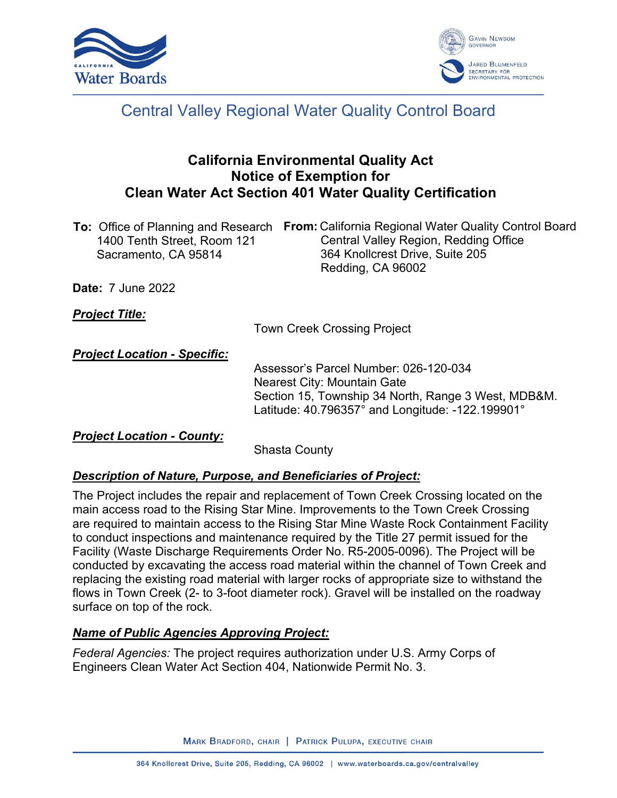



# Central Valley Regional Water Quality Control Board

# **California Environmental Quality Act Notice of Exemption for Clean Water Act Section 401 Water Quality Certification**

| <b>To:</b> Office of Planning and Research | <b>From:</b> California Regional Water Quality Control Board |
|--------------------------------------------|--------------------------------------------------------------|
| 1400 Tenth Street, Room 121                | Central Valley Region, Redding Office                        |
| Sacramento, CA 95814                       | 364 Knollcrest Drive, Suite 205                              |
|                                            | Redding, CA 96002                                            |

**Date:** 7 June 2022

## *Project Title:*

Town Creek Crossing Project

*Project Location - Specific:*

Assessor's Parcel Number: 026-120-034 Nearest City: Mountain Gate Section 15, Township 34 North, Range 3 West, MDB&M. Latitude: 40.796357° and Longitude: -122.199901°

## *Project Location - County:*

Shasta County

## *Description of Nature, Purpose, and Beneficiaries of Project:*

The Project includes the repair and replacement of Town Creek Crossing located on the main access road to the Rising Star Mine. Improvements to the Town Creek Crossing are required to maintain access to the Rising Star Mine Waste Rock Containment Facility to conduct inspections and maintenance required by the Title 27 permit issued for the Facility (Waste Discharge Requirements Order No. R5-2005-0096). The Project will be conducted by excavating the access road material within the channel of Town Creek and replacing the existing road material with larger rocks of appropriate size to withstand the flows in Town Creek (2- to 3-foot diameter rock). Gravel will be installed on the roadway surface on top of the rock.

## *Name of Public Agencies Approving Project:*

*Federal Agencies:* The project requires authorization under U.S. Army Corps of Engineers Clean Water Act Section 404, Nationwide Permit No. 3.

MARK BRADFORD, CHAIR | PATRICK PULUPA, EXECUTIVE CHAIR